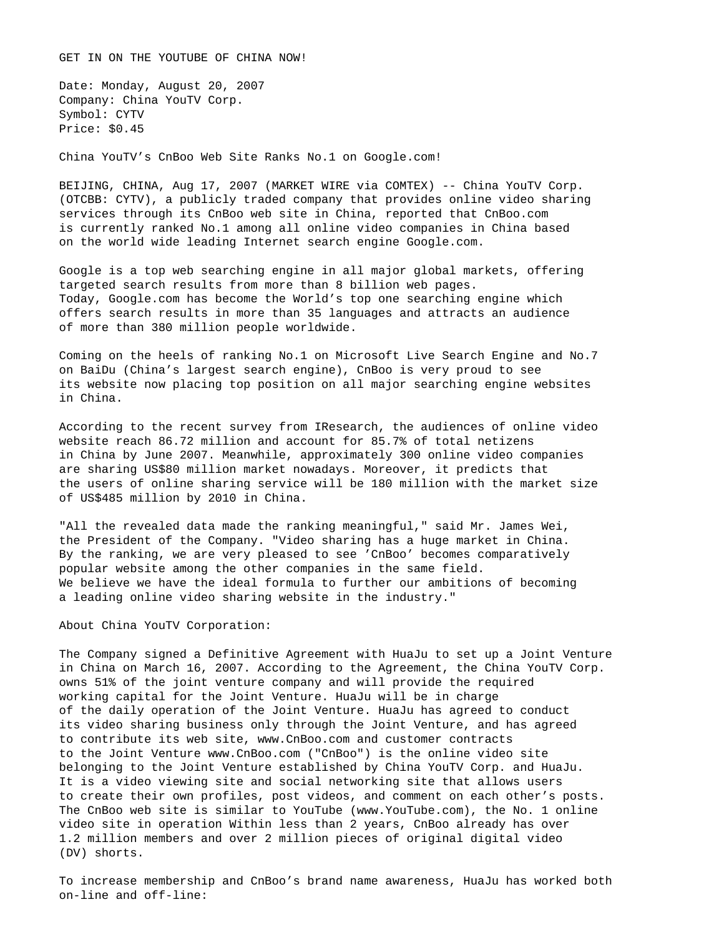GET IN ON THE YOUTUBE OF CHINA NOW!

Date: Monday, August 20, 2007 Company: China YouTV Corp. Symbol: CYTV Price: \$0.45

China YouTV's CnBoo Web Site Ranks No.1 on Google.com!

BEIJING, CHINA, Aug 17, 2007 (MARKET WIRE via COMTEX) -- China YouTV Corp. (OTCBB: CYTV), a publicly traded company that provides online video sharing services through its CnBoo web site in China, reported that CnBoo.com is currently ranked No.1 among all online video companies in China based on the world wide leading Internet search engine Google.com.

Google is a top web searching engine in all major global markets, offering targeted search results from more than 8 billion web pages. Today, Google.com has become the World's top one searching engine which offers search results in more than 35 languages and attracts an audience of more than 380 million people worldwide.

Coming on the heels of ranking No.1 on Microsoft Live Search Engine and No.7 on BaiDu (China's largest search engine), CnBoo is very proud to see its website now placing top position on all major searching engine websites in China.

According to the recent survey from IResearch, the audiences of online video website reach 86.72 million and account for 85.7% of total netizens in China by June 2007. Meanwhile, approximately 300 online video companies are sharing US\$80 million market nowadays. Moreover, it predicts that the users of online sharing service will be 180 million with the market size of US\$485 million by 2010 in China.

"All the revealed data made the ranking meaningful," said Mr. James Wei, the President of the Company. "Video sharing has a huge market in China. By the ranking, we are very pleased to see 'CnBoo' becomes comparatively popular website among the other companies in the same field. We believe we have the ideal formula to further our ambitions of becoming a leading online video sharing website in the industry."

About China YouTV Corporation:

The Company signed a Definitive Agreement with HuaJu to set up a Joint Venture in China on March 16, 2007. According to the Agreement, the China YouTV Corp. owns 51% of the joint venture company and will provide the required working capital for the Joint Venture. HuaJu will be in charge of the daily operation of the Joint Venture. HuaJu has agreed to conduct its video sharing business only through the Joint Venture, and has agreed to contribute its web site, www.CnBoo.com and customer contracts to the Joint Venture www.CnBoo.com ("CnBoo") is the online video site belonging to the Joint Venture established by China YouTV Corp. and HuaJu. It is a video viewing site and social networking site that allows users to create their own profiles, post videos, and comment on each other's posts. The CnBoo web site is similar to YouTube (www.YouTube.com), the No. 1 online video site in operation Within less than 2 years, CnBoo already has over 1.2 million members and over 2 million pieces of original digital video (DV) shorts.

To increase membership and CnBoo's brand name awareness, HuaJu has worked both on-line and off-line: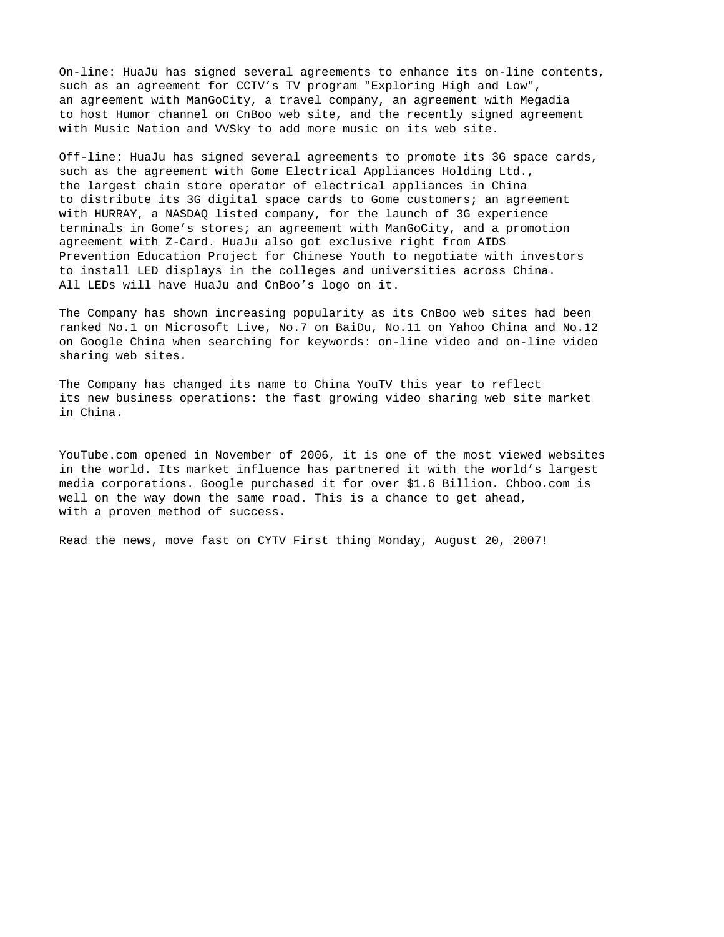On-line: HuaJu has signed several agreements to enhance its on-line contents, such as an agreement for CCTV's TV program "Exploring High and Low", an agreement with ManGoCity, a travel company, an agreement with Megadia to host Humor channel on CnBoo web site, and the recently signed agreement with Music Nation and VVSky to add more music on its web site.

Off-line: HuaJu has signed several agreements to promote its 3G space cards, such as the agreement with Gome Electrical Appliances Holding Ltd., the largest chain store operator of electrical appliances in China to distribute its 3G digital space cards to Gome customers; an agreement with HURRAY, a NASDAQ listed company, for the launch of 3G experience terminals in Gome's stores; an agreement with ManGoCity, and a promotion agreement with Z-Card. HuaJu also got exclusive right from AIDS Prevention Education Project for Chinese Youth to negotiate with investors to install LED displays in the colleges and universities across China. All LEDs will have HuaJu and CnBoo's logo on it.

The Company has shown increasing popularity as its CnBoo web sites had been ranked No.1 on Microsoft Live, No.7 on BaiDu, No.11 on Yahoo China and No.12 on Google China when searching for keywords: on-line video and on-line video sharing web sites.

The Company has changed its name to China YouTV this year to reflect its new business operations: the fast growing video sharing web site market in China.

YouTube.com opened in November of 2006, it is one of the most viewed websites in the world. Its market influence has partnered it with the world's largest media corporations. Google purchased it for over \$1.6 Billion. Chboo.com is well on the way down the same road. This is a chance to get ahead, with a proven method of success.

Read the news, move fast on CYTV First thing Monday, August 20, 2007!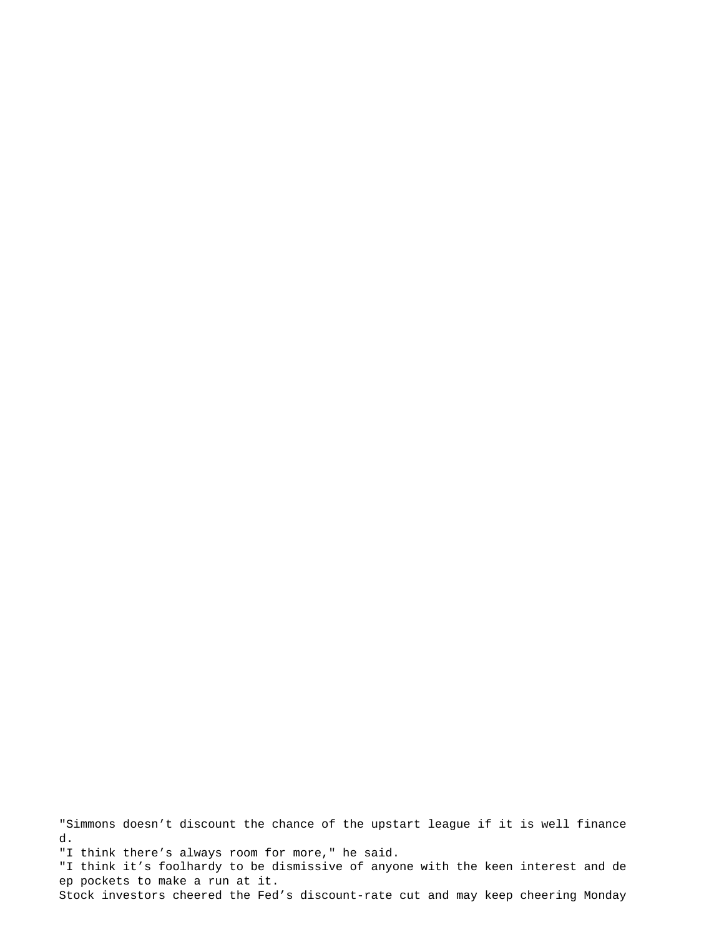"Simmons doesn't discount the chance of the upstart league if it is well finance d. "I think there's always room for more," he said. "I think it's foolhardy to be dismissive of anyone with the keen interest and de ep pockets to make a run at it. Stock investors cheered the Fed's discount-rate cut and may keep cheering Monday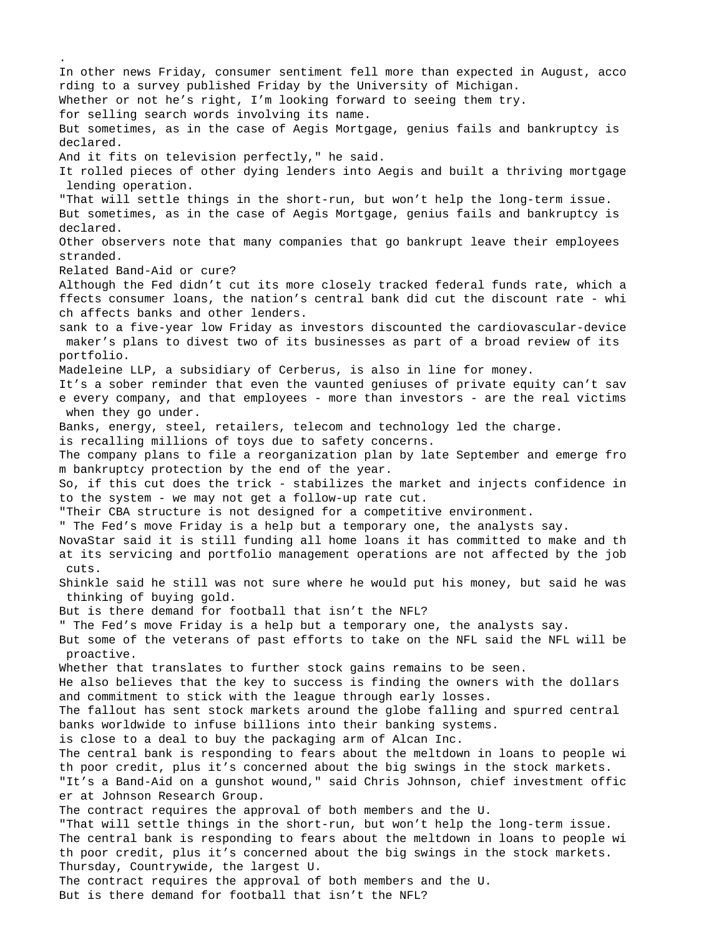In other news Friday, consumer sentiment fell more than expected in August, acco rding to a survey published Friday by the University of Michigan. Whether or not he's right, I'm looking forward to seeing them try. for selling search words involving its name. But sometimes, as in the case of Aegis Mortgage, genius fails and bankruptcy is declared. And it fits on television perfectly," he said. It rolled pieces of other dying lenders into Aegis and built a thriving mortgage lending operation. "That will settle things in the short-run, but won't help the long-term issue. But sometimes, as in the case of Aegis Mortgage, genius fails and bankruptcy is declared. Other observers note that many companies that go bankrupt leave their employees stranded. Related Band-Aid or cure? Although the Fed didn't cut its more closely tracked federal funds rate, which a ffects consumer loans, the nation's central bank did cut the discount rate - whi ch affects banks and other lenders. sank to a five-year low Friday as investors discounted the cardiovascular-device maker's plans to divest two of its businesses as part of a broad review of its portfolio. Madeleine LLP, a subsidiary of Cerberus, is also in line for money. It's a sober reminder that even the vaunted geniuses of private equity can't sav e every company, and that employees - more than investors - are the real victims when they go under. Banks, energy, steel, retailers, telecom and technology led the charge. is recalling millions of toys due to safety concerns. The company plans to file a reorganization plan by late September and emerge fro m bankruptcy protection by the end of the year. So, if this cut does the trick - stabilizes the market and injects confidence in to the system - we may not get a follow-up rate cut. "Their CBA structure is not designed for a competitive environment. " The Fed's move Friday is a help but a temporary one, the analysts say. NovaStar said it is still funding all home loans it has committed to make and th at its servicing and portfolio management operations are not affected by the job cuts. Shinkle said he still was not sure where he would put his money, but said he was thinking of buying gold. But is there demand for football that isn't the NFL? " The Fed's move Friday is a help but a temporary one, the analysts say. But some of the veterans of past efforts to take on the NFL said the NFL will be proactive. Whether that translates to further stock gains remains to be seen. He also believes that the key to success is finding the owners with the dollars and commitment to stick with the league through early losses. The fallout has sent stock markets around the globe falling and spurred central banks worldwide to infuse billions into their banking systems. is close to a deal to buy the packaging arm of Alcan Inc. The central bank is responding to fears about the meltdown in loans to people wi th poor credit, plus it's concerned about the big swings in the stock markets. "It's a Band-Aid on a gunshot wound," said Chris Johnson, chief investment offic er at Johnson Research Group. The contract requires the approval of both members and the U. "That will settle things in the short-run, but won't help the long-term issue. The central bank is responding to fears about the meltdown in loans to people wi th poor credit, plus it's concerned about the big swings in the stock markets. Thursday, Countrywide, the largest U. The contract requires the approval of both members and the U. But is there demand for football that isn't the NFL?

.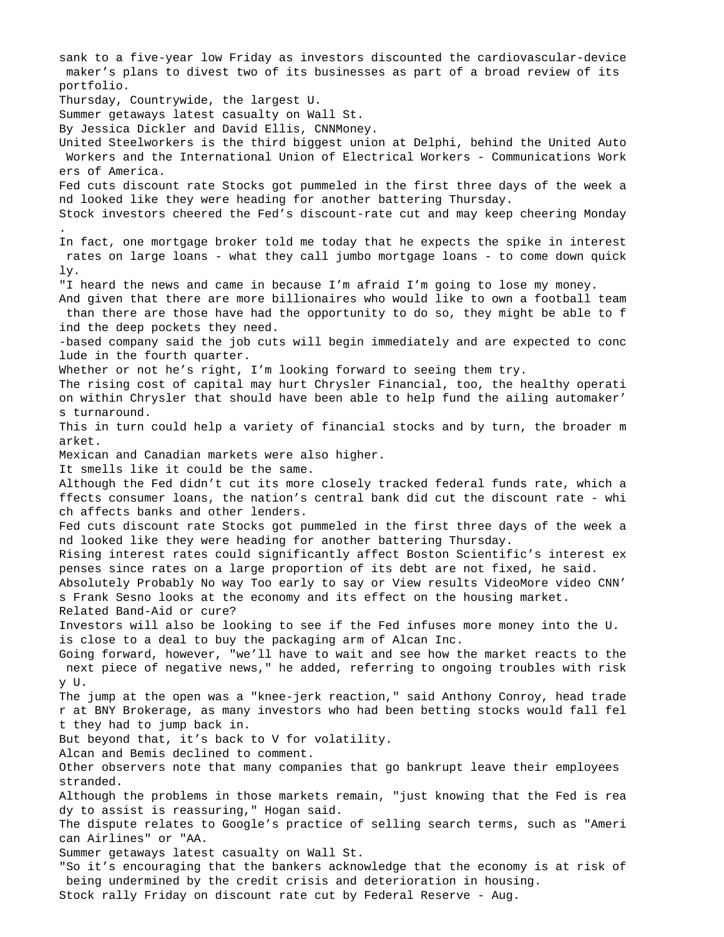sank to a five-year low Friday as investors discounted the cardiovascular-device maker's plans to divest two of its businesses as part of a broad review of its portfolio. Thursday, Countrywide, the largest U. Summer getaways latest casualty on Wall St. By Jessica Dickler and David Ellis, CNNMoney. United Steelworkers is the third biggest union at Delphi, behind the United Auto Workers and the International Union of Electrical Workers - Communications Work ers of America. Fed cuts discount rate Stocks got pummeled in the first three days of the week a nd looked like they were heading for another battering Thursday. Stock investors cheered the Fed's discount-rate cut and may keep cheering Monday . In fact, one mortgage broker told me today that he expects the spike in interest rates on large loans - what they call jumbo mortgage loans - to come down quick ly. "I heard the news and came in because I'm afraid I'm going to lose my money. And given that there are more billionaires who would like to own a football team than there are those have had the opportunity to do so, they might be able to f ind the deep pockets they need. -based company said the job cuts will begin immediately and are expected to conc lude in the fourth quarter. Whether or not he's right, I'm looking forward to seeing them try. The rising cost of capital may hurt Chrysler Financial, too, the healthy operati on within Chrysler that should have been able to help fund the ailing automaker' s turnaround. This in turn could help a variety of financial stocks and by turn, the broader m arket. Mexican and Canadian markets were also higher. It smells like it could be the same. Although the Fed didn't cut its more closely tracked federal funds rate, which a ffects consumer loans, the nation's central bank did cut the discount rate - whi ch affects banks and other lenders. Fed cuts discount rate Stocks got pummeled in the first three days of the week a nd looked like they were heading for another battering Thursday. Rising interest rates could significantly affect Boston Scientific's interest ex penses since rates on a large proportion of its debt are not fixed, he said. Absolutely Probably No way Too early to say or View results VideoMore video CNN' s Frank Sesno looks at the economy and its effect on the housing market. Related Band-Aid or cure? Investors will also be looking to see if the Fed infuses more money into the U. is close to a deal to buy the packaging arm of Alcan Inc. Going forward, however, "we'll have to wait and see how the market reacts to the next piece of negative news," he added, referring to ongoing troubles with risk y U. The jump at the open was a "knee-jerk reaction," said Anthony Conroy, head trade r at BNY Brokerage, as many investors who had been betting stocks would fall fel t they had to jump back in. But beyond that, it's back to V for volatility. Alcan and Bemis declined to comment. Other observers note that many companies that go bankrupt leave their employees stranded. Although the problems in those markets remain, "just knowing that the Fed is rea dy to assist is reassuring," Hogan said. The dispute relates to Google's practice of selling search terms, such as "Ameri can Airlines" or "AA. Summer getaways latest casualty on Wall St. "So it's encouraging that the bankers acknowledge that the economy is at risk of being undermined by the credit crisis and deterioration in housing. Stock rally Friday on discount rate cut by Federal Reserve - Aug.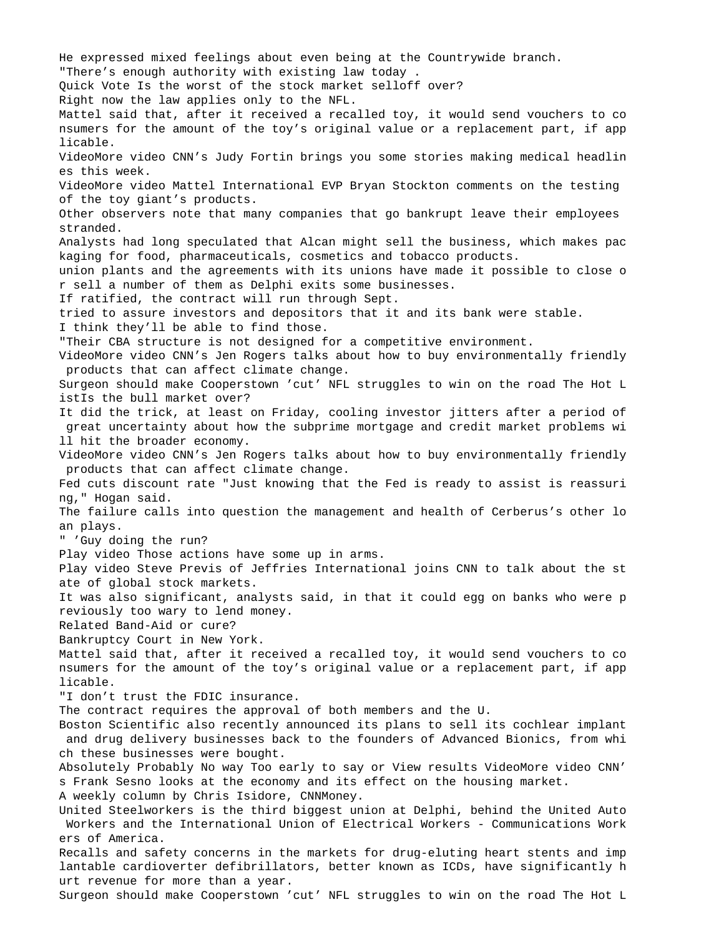He expressed mixed feelings about even being at the Countrywide branch. "There's enough authority with existing law today . Quick Vote Is the worst of the stock market selloff over? Right now the law applies only to the NFL. Mattel said that, after it received a recalled toy, it would send vouchers to co nsumers for the amount of the toy's original value or a replacement part, if app licable. VideoMore video CNN's Judy Fortin brings you some stories making medical headlin es this week. VideoMore video Mattel International EVP Bryan Stockton comments on the testing of the toy giant's products. Other observers note that many companies that go bankrupt leave their employees stranded. Analysts had long speculated that Alcan might sell the business, which makes pac kaging for food, pharmaceuticals, cosmetics and tobacco products. union plants and the agreements with its unions have made it possible to close o r sell a number of them as Delphi exits some businesses. If ratified, the contract will run through Sept. tried to assure investors and depositors that it and its bank were stable. I think they'll be able to find those. "Their CBA structure is not designed for a competitive environment. VideoMore video CNN's Jen Rogers talks about how to buy environmentally friendly products that can affect climate change. Surgeon should make Cooperstown 'cut' NFL struggles to win on the road The Hot L istIs the bull market over? It did the trick, at least on Friday, cooling investor jitters after a period of great uncertainty about how the subprime mortgage and credit market problems wi ll hit the broader economy. VideoMore video CNN's Jen Rogers talks about how to buy environmentally friendly products that can affect climate change. Fed cuts discount rate "Just knowing that the Fed is ready to assist is reassuri ng," Hogan said. The failure calls into question the management and health of Cerberus's other lo an plays. " 'Guy doing the run? Play video Those actions have some up in arms. Play video Steve Previs of Jeffries International joins CNN to talk about the st ate of global stock markets. It was also significant, analysts said, in that it could egg on banks who were p reviously too wary to lend money. Related Band-Aid or cure? Bankruptcy Court in New York. Mattel said that, after it received a recalled toy, it would send vouchers to co nsumers for the amount of the toy's original value or a replacement part, if app licable. "I don't trust the FDIC insurance. The contract requires the approval of both members and the U. Boston Scientific also recently announced its plans to sell its cochlear implant and drug delivery businesses back to the founders of Advanced Bionics, from whi ch these businesses were bought. Absolutely Probably No way Too early to say or View results VideoMore video CNN' s Frank Sesno looks at the economy and its effect on the housing market. A weekly column by Chris Isidore, CNNMoney. United Steelworkers is the third biggest union at Delphi, behind the United Auto Workers and the International Union of Electrical Workers - Communications Work ers of America. Recalls and safety concerns in the markets for drug-eluting heart stents and imp lantable cardioverter defibrillators, better known as ICDs, have significantly h urt revenue for more than a year. Surgeon should make Cooperstown 'cut' NFL struggles to win on the road The Hot L